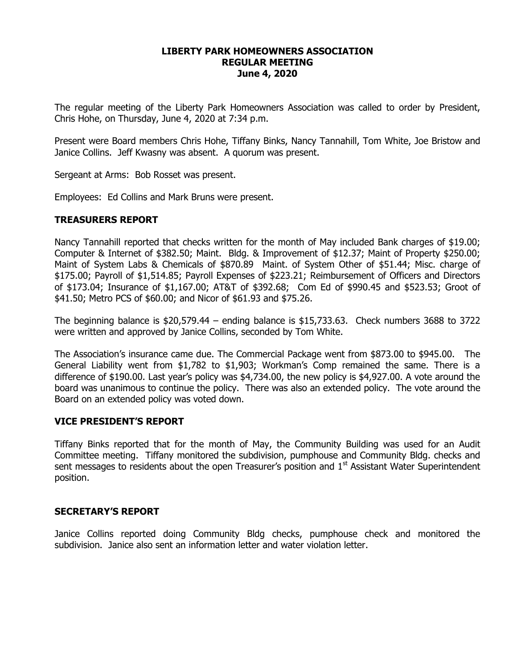# **LIBERTY PARK HOMEOWNERS ASSOCIATION REGULAR MEETING June 4, 2020**

The regular meeting of the Liberty Park Homeowners Association was called to order by President, Chris Hohe, on Thursday, June 4, 2020 at 7:34 p.m.

Present were Board members Chris Hohe, Tiffany Binks, Nancy Tannahill, Tom White, Joe Bristow and Janice Collins. Jeff Kwasny was absent. A quorum was present.

Sergeant at Arms: Bob Rosset was present.

Employees: Ed Collins and Mark Bruns were present.

### **TREASURERS REPORT**

Nancy Tannahill reported that checks written for the month of May included Bank charges of \$19.00; Computer & Internet of \$382.50; Maint. Bldg. & Improvement of \$12.37; Maint of Property \$250.00; Maint of System Labs & Chemicals of \$870.89 Maint. of System Other of \$51.44; Misc. charge of \$175.00; Payroll of \$1,514.85; Payroll Expenses of \$223.21; Reimbursement of Officers and Directors of \$173.04; Insurance of \$1,167.00; AT&T of \$392.68; Com Ed of \$990.45 and \$523.53; Groot of \$41.50; Metro PCS of \$60.00; and Nicor of \$61.93 and \$75.26.

The beginning balance is  $$20,579.44$  – ending balance is  $$15,733.63$ . Check numbers 3688 to 3722 were written and approved by Janice Collins, seconded by Tom White.

The Association's insurance came due. The Commercial Package went from \$873.00 to \$945.00. The General Liability went from \$1,782 to \$1,903; Workman's Comp remained the same. There is a difference of \$190.00. Last year's policy was \$4,734.00, the new policy is \$4,927.00. A vote around the board was unanimous to continue the policy. There was also an extended policy. The vote around the Board on an extended policy was voted down.

#### **VICE PRESIDENT'S REPORT**

Tiffany Binks reported that for the month of May, the Community Building was used for an Audit Committee meeting. Tiffany monitored the subdivision, pumphouse and Community Bldg. checks and sent messages to residents about the open Treasurer's position and  $1<sup>st</sup>$  Assistant Water Superintendent position.

#### **SECRETARY'S REPORT**

Janice Collins reported doing Community Bldg checks, pumphouse check and monitored the subdivision. Janice also sent an information letter and water violation letter.